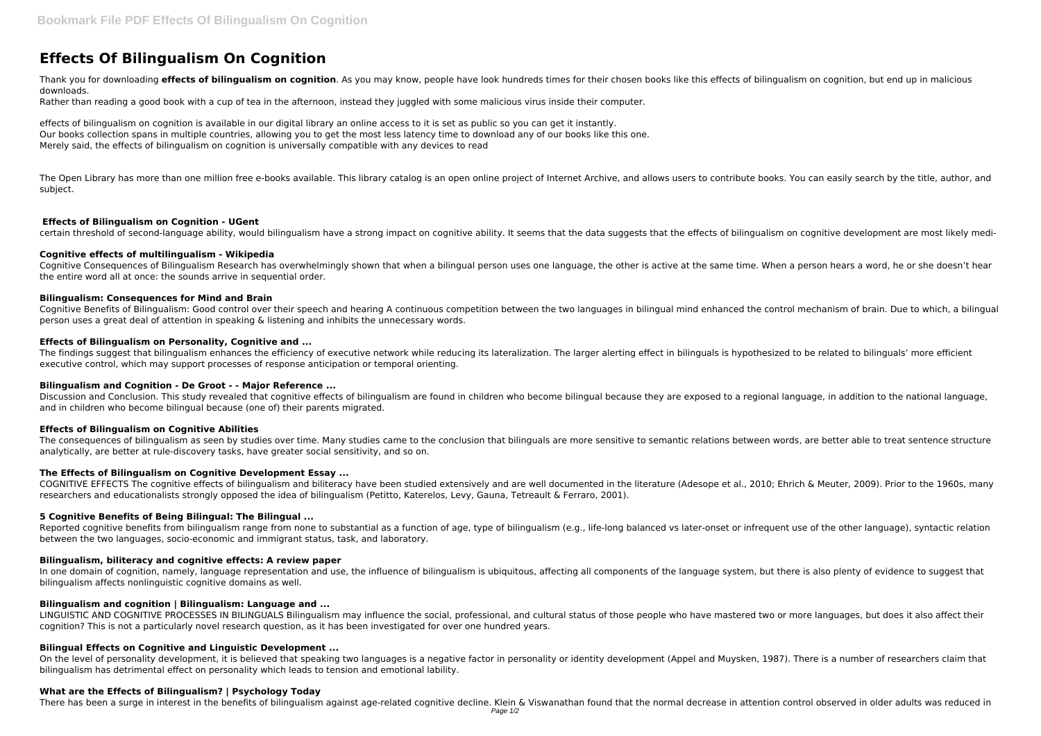# **Effects Of Bilingualism On Cognition**

Thank you for downloading **effects of bilingualism on cognition**. As you may know, people have look hundreds times for their chosen books like this effects of bilingualism on cognition, but end up in malicious downloads.

Rather than reading a good book with a cup of tea in the afternoon, instead they juggled with some malicious virus inside their computer.

The Open Library has more than one million free e-books available. This library catalog is an open online project of Internet Archive, and allows users to contribute books. You can easily search by the title, author, and subject.

effects of bilingualism on cognition is available in our digital library an online access to it is set as public so you can get it instantly. Our books collection spans in multiple countries, allowing you to get the most less latency time to download any of our books like this one. Merely said, the effects of bilingualism on cognition is universally compatible with any devices to read

Cognitive Consequences of Bilingualism Research has overwhelmingly shown that when a bilingual person uses one language, the other is active at the same time. When a person hears a word, he or she doesn't hear the entire word all at once: the sounds arrive in sequential order.

## **Effects of Bilingualism on Cognition - UGent**

certain threshold of second-language ability, would bilingualism have a strong impact on cognitive ability. It seems that the data suggests that the effects of bilingualism on cognitive development are most likely medi-

## **Cognitive effects of multilingualism - Wikipedia**

Discussion and Conclusion. This study revealed that cognitive effects of bilingualism are found in children who become bilingual because they are exposed to a regional language, in addition to the national language, and in children who become bilingual because (one of) their parents migrated.

## **Bilingualism: Consequences for Mind and Brain**

Cognitive Benefits of Bilingualism: Good control over their speech and hearing A continuous competition between the two languages in bilingual mind enhanced the control mechanism of brain. Due to which, a bilingual person uses a great deal of attention in speaking & listening and inhibits the unnecessary words.

## **Effects of Bilingualism on Personality, Cognitive and ...**

In one domain of cognition, namely, language representation and use, the influence of bilingualism is ubiquitous, affecting all components of the language system, but there is also plenty of evidence to suggest that bilingualism affects nonlinguistic cognitive domains as well.

The findings suggest that bilingualism enhances the efficiency of executive network while reducing its lateralization. The larger alerting effect in bilinguals is hypothesized to be related to bilinguals' more efficient executive control, which may support processes of response anticipation or temporal orienting.

# **Bilingualism and Cognition - De Groot - - Major Reference ...**

#### **Effects of Bilingualism on Cognitive Abilities**

The consequences of bilingualism as seen by studies over time. Many studies came to the conclusion that bilinguals are more sensitive to semantic relations between words, are better able to treat sentence structure analytically, are better at rule-discovery tasks, have greater social sensitivity, and so on.

# **The Effects of Bilingualism on Cognitive Development Essay ...**

COGNITIVE EFFECTS The cognitive effects of bilingualism and biliteracy have been studied extensively and are well documented in the literature (Adesope et al., 2010; Ehrich & Meuter, 2009). Prior to the 1960s, many researchers and educationalists strongly opposed the idea of bilingualism (Petitto, Katerelos, Levy, Gauna, Tetreault & Ferraro, 2001).

# **5 Cognitive Benefits of Being Bilingual: The Bilingual ...**

Reported cognitive benefits from bilingualism range from none to substantial as a function of age, type of bilingualism (e.g., life-long balanced vs later-onset or infrequent use of the other language), syntactic relation between the two languages, socio-economic and immigrant status, task, and laboratory.

# **Bilingualism, biliteracy and cognitive effects: A review paper**

# **Bilingualism and cognition | Bilingualism: Language and ...**

LINGUISTIC AND COGNITIVE PROCESSES IN BILINGUALS Bilingualism may influence the social, professional, and cultural status of those people who have mastered two or more languages, but does it also affect their cognition? This is not a particularly novel research question, as it has been investigated for over one hundred years.

# **Bilingual Effects on Cognitive and Linguistic Development ...**

On the level of personality development, it is believed that speaking two languages is a negative factor in personality or identity development (Appel and Muysken, 1987). There is a number of researchers claim that bilingualism has detrimental effect on personality which leads to tension and emotional lability.

#### **What are the Effects of Bilingualism? | Psychology Today**

There has been a surge in interest in the benefits of bilingualism against age-related cognitive decline. Klein & Viswanathan found that the normal decrease in attention control observed in older adults was reduced in